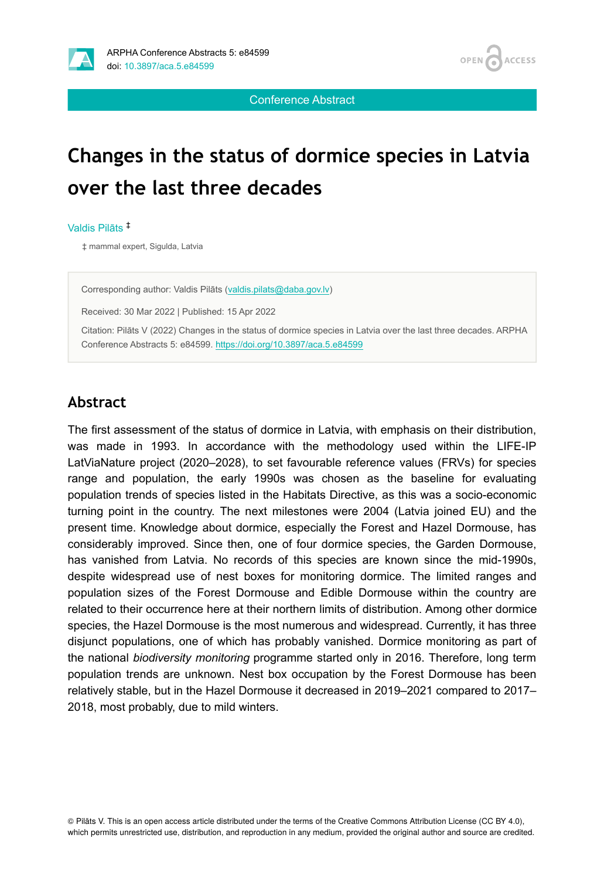



Conference Abstract

# **Changes in the status of dormice species in Latvia over the last three decades**

Valdis Pilāts ‡

‡ mammal expert, Sigulda, Latvia

Corresponding author: Valdis Pilāts [\(valdis.pilats@daba.gov.lv\)](mailto:valdis.pilats@daba.gov.lv)

Received: 30 Mar 2022 | Published: 15 Apr 2022

Citation: Pilāts V (2022) Changes in the status of dormice species in Latvia over the last three decades. ARPHA Conference Abstracts 5: e84599. <https://doi.org/10.3897/aca.5.e84599>

#### **Abstract**

The first assessment of the status of dormice in Latvia, with emphasis on their distribution, was made in 1993. In accordance with the methodology used within the LIFE-IP LatViaNature project (2020–2028), to set favourable reference values (FRVs) for species range and population, the early 1990s was chosen as the baseline for evaluating population trends of species listed in the Habitats Directive, as this was a socio-economic turning point in the country. The next milestones were 2004 (Latvia joined EU) and the present time. Knowledge about dormice, especially the Forest and Hazel Dormouse, has considerably improved. Since then, one of four dormice species, the Garden Dormouse, has vanished from Latvia. No records of this species are known since the mid-1990s, despite widespread use of nest boxes for monitoring dormice. The limited ranges and population sizes of the Forest Dormouse and Edible Dormouse within the country are related to their occurrence here at their northern limits of distribution. Among other dormice species, the Hazel Dormouse is the most numerous and widespread. Currently, it has three disjunct populations, one of which has probably vanished. Dormice monitoring as part of the national *biodiversity monitoring* programme started only in 2016. Therefore, long term population trends are unknown. Nest box occupation by the Forest Dormouse has been relatively stable, but in the Hazel Dormouse it decreased in 2019–2021 compared to 2017– 2018, most probably, due to mild winters.